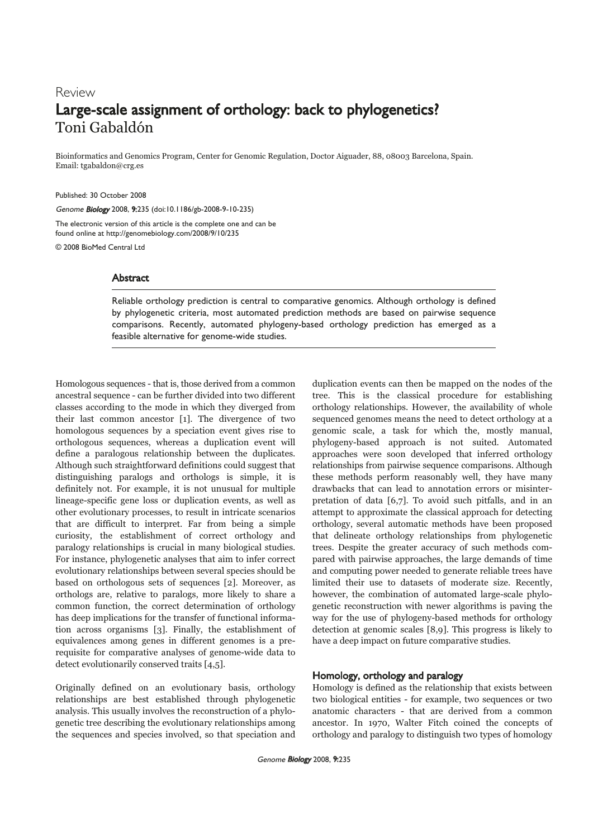# Review Large-scale assignment of orthology: back to phylogenetics? Toni Gabaldón

Bioinformatics and Genomics Program, Center for Genomic Regulation, Doctor Aiguader, 88, 08003 Barcelona, Spain. Email: tgabaldon@crg.es

Published: 30 October 2008

Genome Biology 2008, 9:235 (doi:10.1186/gb-2008-9-10-235)

The electronic version of this article is the complete one and can be found online at http://genomebiology.com/2008/9/10/235

© 2008 BioMed Central Ltd

# Abstract

Reliable orthology prediction is central to comparative genomics. Although orthology is defined by phylogenetic criteria, most automated prediction methods are based on pairwise sequence comparisons. Recently, automated phylogeny-based orthology prediction has emerged as a feasible alternative for genome-wide studies.

Homologous sequences - that is, those derived from a common ancestral sequence - can be further divided into two different classes according to the mode in which they diverged from their last common ancestor [1]. The divergence of two homologous sequences by a speciation event gives rise to orthologous sequences, whereas a duplication event will define a paralogous relationship between the duplicates. Although such straightforward definitions could suggest that distinguishing paralogs and orthologs is simple, it is definitely not. For example, it is not unusual for multiple lineage-specific gene loss or duplication events, as well as other evolutionary processes, to result in intricate scenarios that are difficult to interpret. Far from being a simple curiosity, the establishment of correct orthology and paralogy relationships is crucial in many biological studies. For instance, phylogenetic analyses that aim to infer correct evolutionary relationships between several species should be based on orthologous sets of sequences [2]. Moreover, as orthologs are, relative to paralogs, more likely to share a common function, the correct determination of orthology has deep implications for the transfer of functional information across organisms [3]. Finally, the establishment of equivalences among genes in different genomes is a prerequisite for comparative analyses of genome-wide data to detect evolutionarily conserved traits [4,5].

Originally defined on an evolutionary basis, orthology relationships are best established through phylogenetic analysis. This usually involves the reconstruction of a phylogenetic tree describing the evolutionary relationships among the sequences and species involved, so that speciation and

duplication events can then be mapped on the nodes of the tree. This is the classical procedure for establishing orthology relationships. However, the availability of whole sequenced genomes means the need to detect orthology at a genomic scale, a task for which the, mostly manual, phylogeny-based approach is not suited. Automated approaches were soon developed that inferred orthology relationships from pairwise sequence comparisons. Although these methods perform reasonably well, they have many drawbacks that can lead to annotation errors or misinterpretation of data [6,7]. To avoid such pitfalls, and in an attempt to approximate the classical approach for detecting orthology, several automatic methods have been proposed that delineate orthology relationships from phylogenetic trees. Despite the greater accuracy of such methods compared with pairwise approaches, the large demands of time and computing power needed to generate reliable trees have limited their use to datasets of moderate size. Recently, however, the combination of automated large-scale phylogenetic reconstruction with newer algorithms is paving the way for the use of phylogeny-based methods for orthology detection at genomic scales [8,9]. This progress is likely to have a deep impact on future comparative studies.

## Homology, orthology and paralogy

Homology is defined as the relationship that exists between two biological entities - for example, two sequences or two anatomic characters - that are derived from a common ancestor. In 1970, Walter Fitch coined the concepts of orthology and paralogy to distinguish two types of homology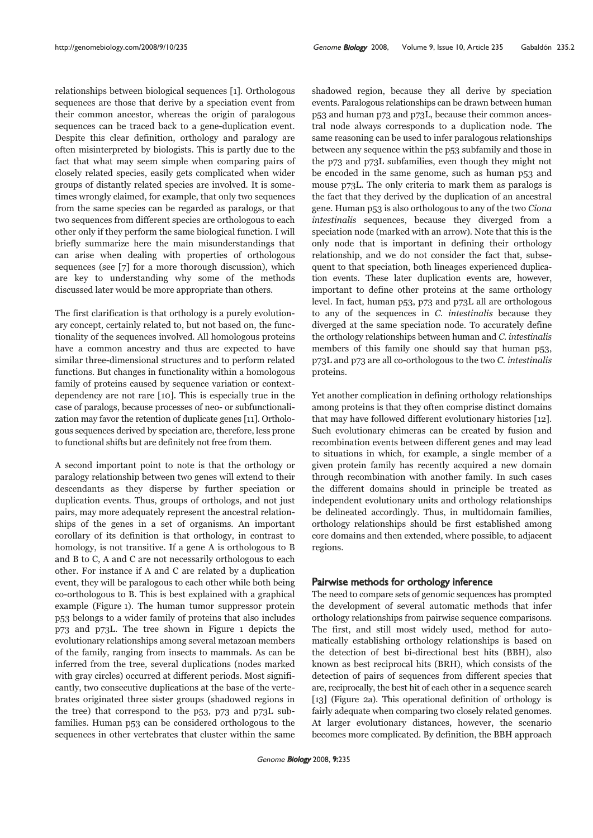relationships between biological sequences [1]. Orthologous sequences are those that derive by a speciation event from their common ancestor, whereas the origin of paralogous sequences can be traced back to a gene-duplication event. Despite this clear definition, orthology and paralogy are often misinterpreted by biologists. This is partly due to the fact that what may seem simple when comparing pairs of closely related species, easily gets complicated when wider groups of distantly related species are involved. It is sometimes wrongly claimed, for example, that only two sequences from the same species can be regarded as paralogs, or that two sequences from different species are orthologous to each other only if they perform the same biological function. I will briefly summarize here the main misunderstandings that can arise when dealing with properties of orthologous sequences (see [7] for a more thorough discussion), which are key to understanding why some of the methods discussed later would be more appropriate than others.

The first clarification is that orthology is a purely evolutionary concept, certainly related to, but not based on, the functionality of the sequences involved. All homologous proteins have a common ancestry and thus are expected to have similar three-dimensional structures and to perform related functions. But changes in functionality within a homologous family of proteins caused by sequence variation or contextdependency are not rare [10]. This is especially true in the case of paralogs, because processes of neo- or subfunctionalization may favor the retention of duplicate genes [11]. Orthologous sequences derived by speciation are, therefore, less prone to functional shifts but are definitely not free from them.

A second important point to note is that the orthology or paralogy relationship between two genes will extend to their descendants as they disperse by further speciation or duplication events. Thus, groups of orthologs, and not just pairs, may more adequately represent the ancestral relationships of the genes in a set of organisms. An important corollary of its definition is that orthology, in contrast to homology, is not transitive. If a gene A is orthologous to B and B to C, A and C are not necessarily orthologous to each other. For instance if A and C are related by a duplication event, they will be paralogous to each other while both being co-orthologous to B. This is best explained with a graphical example (Figure 1). The human tumor suppressor protein p53 belongs to a wider family of proteins that also includes p73 and p73L. The tree shown in Figure 1 depicts the evolutionary relationships among several metazoan members of the family, ranging from insects to mammals. As can be inferred from the tree, several duplications (nodes marked with gray circles) occurred at different periods. Most significantly, two consecutive duplications at the base of the vertebrates originated three sister groups (shadowed regions in the tree) that correspond to the p53, p73 and p73L subfamilies. Human p53 can be considered orthologous to the sequences in other vertebrates that cluster within the same

shadowed region, because they all derive by speciation events. Paralogous relationships can be drawn between human p53 and human p73 and p73L, because their common ancestral node always corresponds to a duplication node. The same reasoning can be used to infer paralogous relationships between any sequence within the p53 subfamily and those in the p73 and p73L subfamilies, even though they might not be encoded in the same genome, such as human p53 and mouse p73L. The only criteria to mark them as paralogs is the fact that they derived by the duplication of an ancestral gene. Human p53 is also orthologous to any of the two Ciona intestinalis sequences, because they diverged from a speciation node (marked with an arrow). Note that this is the only node that is important in defining their orthology relationship, and we do not consider the fact that, subsequent to that speciation, both lineages experienced duplication events. These later duplication events are, however, important to define other proteins at the same orthology level. In fact, human p53, p73 and p73L all are orthologous to any of the sequences in C. intestinalis because they diverged at the same speciation node. To accurately define the orthology relationships between human and C. intestinalis members of this family one should say that human p53, p73L and p73 are all co-orthologous to the two C. intestinalis proteins.

Yet another complication in defining orthology relationships among proteins is that they often comprise distinct domains that may have followed different evolutionary histories [12]. Such evolutionary chimeras can be created by fusion and recombination events between different genes and may lead to situations in which, for example, a single member of a given protein family has recently acquired a new domain through recombination with another family. In such cases the different domains should in principle be treated as independent evolutionary units and orthology relationships be delineated accordingly. Thus, in multidomain families, orthology relationships should be first established among core domains and then extended, where possible, to adjacent regions.

## Pairwise methods for orthology inference

The need to compare sets of genomic sequences has prompted the development of several automatic methods that infer orthology relationships from pairwise sequence comparisons. The first, and still most widely used, method for automatically establishing orthology relationships is based on the detection of best bi-directional best hits (BBH), also known as best reciprocal hits (BRH), which consists of the detection of pairs of sequences from different species that are, reciprocally, the best hit of each other in a sequence search [13] (Figure 2a). This operational definition of orthology is fairly adequate when comparing two closely related genomes. At larger evolutionary distances, however, the scenario becomes more complicated. By definition, the BBH approach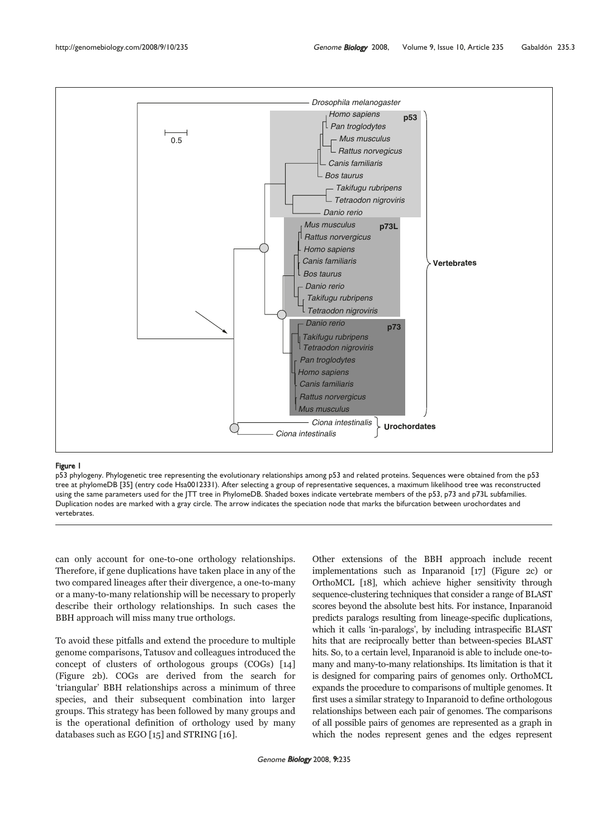

#### Figure 1

p53 phylogeny. Phylogenetic tree representing the evolutionary relationships among p53 and related proteins. Sequences were obtained from the p53 tree at phylomeDB [35] (entry code Hsa0012331). After selecting a group of representative sequences, a maximum likelihood tree was reconstructed using the same parameters used for the JTT tree in PhylomeDB. Shaded boxes indicate vertebrate members of the p53, p73 and p73L subfamilies. Duplication nodes are marked with a gray circle. The arrow indicates the speciation node that marks the bifurcation between urochordates and vertebrates.

can only account for one-to-one orthology relationships. Therefore, if gene duplications have taken place in any of the two compared lineages after their divergence, a one-to-many or a many-to-many relationship will be necessary to properly describe their orthology relationships. In such cases the BBH approach will miss many true orthologs.

To avoid these pitfalls and extend the procedure to multiple genome comparisons, Tatusov and colleagues introduced the concept of clusters of orthologous groups (COGs) [14] (Figure 2b). COGs are derived from the search for 'triangular' BBH relationships across a minimum of three species, and their subsequent combination into larger groups. This strategy has been followed by many groups and is the operational definition of orthology used by many databases such as EGO [15] and STRING [16].

Other extensions of the BBH approach include recent implementations such as Inparanoid [17] (Figure 2c) or OrthoMCL [18], which achieve higher sensitivity through sequence-clustering techniques that consider a range of BLAST scores beyond the absolute best hits. For instance, Inparanoid predicts paralogs resulting from lineage-specific duplications, which it calls 'in-paralogs', by including intraspecific BLAST hits that are reciprocally better than between-species BLAST hits. So, to a certain level, Inparanoid is able to include one-tomany and many-to-many relationships. Its limitation is that it is designed for comparing pairs of genomes only. OrthoMCL expands the procedure to comparisons of multiple genomes. It first uses a similar strategy to Inparanoid to define orthologous relationships between each pair of genomes. The comparisons of all possible pairs of genomes are represented as a graph in which the nodes represent genes and the edges represent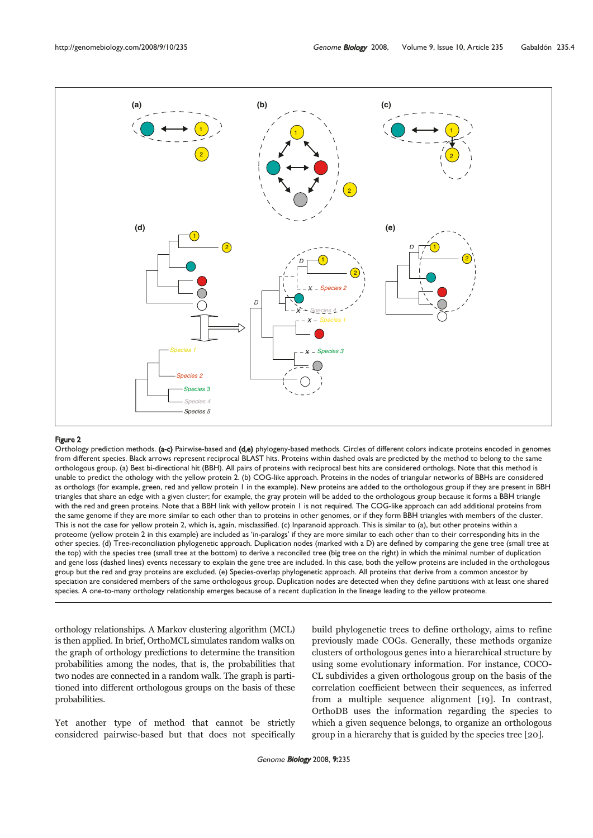

#### Figure 2

Orthology prediction methods. (a-c) Pairwise-based and (d,e) phylogeny-based methods. Circles of different colors indicate proteins encoded in genomes from different species. Black arrows represent reciprocal BLAST hits. Proteins within dashed ovals are predicted by the method to belong to the same orthologous group. (a) Best bi-directional hit (BBH). All pairs of proteins with reciprocal best hits are considered orthologs. Note that this method is unable to predict the othology with the yellow protein 2. (b) COG-like approach. Proteins in the nodes of triangular networks of BBHs are considered as orthologs (for example, green, red and yellow protein 1 in the example). New proteins are added to the orthologous group if they are present in BBH triangles that share an edge with a given cluster; for example, the gray protein will be added to the orthologous group because it forms a BBH triangle with the red and green proteins. Note that a BBH link with yellow protein 1 is not required. The COG-like approach can add additional proteins from the same genome if they are more similar to each other than to proteins in other genomes, or if they form BBH triangles with members of the cluster. This is not the case for yellow protein 2, which is, again, misclassified. (c) Inparanoid approach. This is similar to (a), but other proteins within a proteome (yellow protein 2 in this example) are included as 'in-paralogs' if they are more similar to each other than to their corresponding hits in the other species. (d) Tree-reconciliation phylogenetic approach. Duplication nodes (marked with a D) are defined by comparing the gene tree (small tree at the top) with the species tree (small tree at the bottom) to derive a reconciled tree (big tree on the right) in which the minimal number of duplication and gene loss (dashed lines) events necessary to explain the gene tree are included. In this case, both the yellow proteins are included in the orthologous group but the red and gray proteins are excluded. (e) Species-overlap phylogenetic approach. All proteins that derive from a common ancestor by speciation are considered members of the same orthologous group. Duplication nodes are detected when they define partitions with at least one shared species. A one-to-many orthology relationship emerges because of a recent duplication in the lineage leading to the yellow proteome.

orthology relationships. A Markov clustering algorithm (MCL) is then applied. In brief, OrthoMCL simulates random walks on the graph of orthology predictions to determine the transition probabilities among the nodes, that is, the probabilities that two nodes are connected in a random walk. The graph is partitioned into different orthologous groups on the basis of these probabilities.

Yet another type of method that cannot be strictly considered pairwise-based but that does not specifically build phylogenetic trees to define orthology, aims to refine previously made COGs. Generally, these methods organize clusters of orthologous genes into a hierarchical structure by using some evolutionary information. For instance, COCO-CL subdivides a given orthologous group on the basis of the correlation coefficient between their sequences, as inferred from a multiple sequence alignment [19]. In contrast, OrthoDB uses the information regarding the species to which a given sequence belongs, to organize an orthologous group in a hierarchy that is guided by the species tree [20].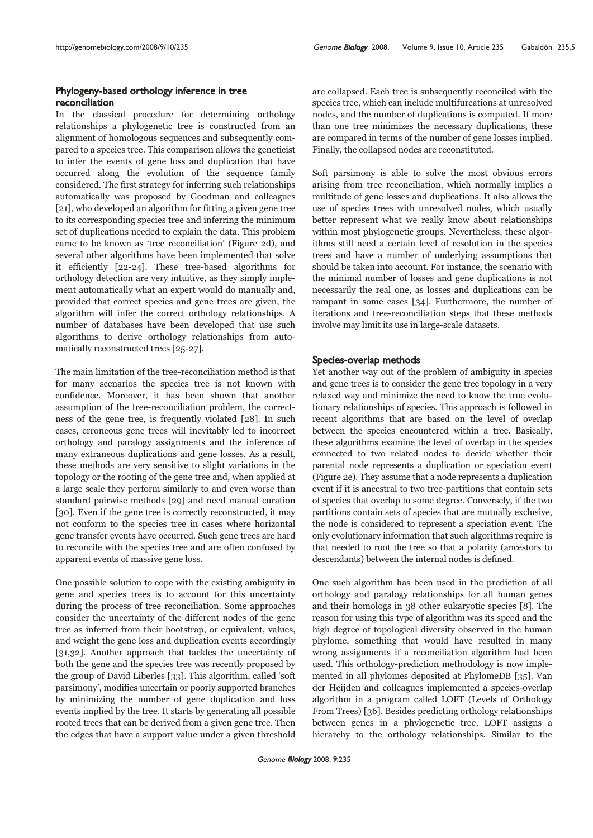# Phylogeny-based orthology inference in tree reconciliation

In the classical procedure for determining orthology relationships a phylogenetic tree is constructed from an alignment of homologous sequences and subsequently compared to a species tree. This comparison allows the geneticist to infer the events of gene loss and duplication that have occurred along the evolution of the sequence family considered. The first strategy for inferring such relationships automatically was proposed by Goodman and colleagues [21], who developed an algorithm for fitting a given gene tree to its corresponding species tree and inferring the minimum set of duplications needed to explain the data. This problem came to be known as 'tree reconciliation' (Figure 2d), and several other algorithms have been implemented that solve it efficiently [22-24]. These tree-based algorithms for orthology detection are very intuitive, as they simply implement automatically what an expert would do manually and, provided that correct species and gene trees are given, the algorithm will infer the correct orthology relationships. A number of databases have been developed that use such algorithms to derive orthology relationships from automatically reconstructed trees [25-27].

The main limitation of the tree-reconciliation method is that for many scenarios the species tree is not known with confidence. Moreover, it has been shown that another assumption of the tree-reconciliation problem, the correctness of the gene tree, is frequently violated [28]. In such cases, erroneous gene trees will inevitably led to incorrect orthology and paralogy assignments and the inference of many extraneous duplications and gene losses. As a result, these methods are very sensitive to slight variations in the topology or the rooting of the gene tree and, when applied at a large scale they perform similarly to and even worse than standard pairwise methods [29] and need manual curation [30]. Even if the gene tree is correctly reconstructed, it may not conform to the species tree in cases where horizontal gene transfer events have occurred. Such gene trees are hard to reconcile with the species tree and are often confused by apparent events of massive gene loss.

One possible solution to cope with the existing ambiguity in gene and species trees is to account for this uncertainty during the process of tree reconciliation. Some approaches consider the uncertainty of the different nodes of the gene tree as inferred from their bootstrap, or equivalent, values, and weight the gene loss and duplication events accordingly [31,32]. Another approach that tackles the uncertainty of both the gene and the species tree was recently proposed by the group of David Liberles [33]. This algorithm, called 'soft parsimony', modifies uncertain or poorly supported branches by minimizing the number of gene duplication and loss events implied by the tree. It starts by generating all possible rooted trees that can be derived from a given gene tree. Then the edges that have a support value under a given threshold are collapsed. Each tree is subsequently reconciled with the species tree, which can include multifurcations at unresolved nodes, and the number of duplications is computed. If more than one tree minimizes the necessary duplications, these are compared in terms of the number of gene losses implied. Finally, the collapsed nodes are reconstituted.

Soft parsimony is able to solve the most obvious errors arising from tree reconciliation, which normally implies a multitude of gene losses and duplications. It also allows the use of species trees with unresolved nodes, which usually better represent what we really know about relationships within most phylogenetic groups. Nevertheless, these algorithms still need a certain level of resolution in the species trees and have a number of underlying assumptions that should be taken into account. For instance, the scenario with the minimal number of losses and gene duplications is not necessarily the real one, as losses and duplications can be rampant in some cases [34]. Furthermore, the number of iterations and tree-reconciliation steps that these methods involve may limit its use in large-scale datasets.

# Species-overlap methods

Yet another way out of the problem of ambiguity in species and gene trees is to consider the gene tree topology in a very relaxed way and minimize the need to know the true evolutionary relationships of species. This approach is followed in recent algorithms that are based on the level of overlap between the species encountered within a tree. Basically, these algorithms examine the level of overlap in the species connected to two related nodes to decide whether their parental node represents a duplication or speciation event (Figure 2e). They assume that a node represents a duplication event if it is ancestral to two tree-partitions that contain sets of species that overlap to some degree. Conversely, if the two partitions contain sets of species that are mutually exclusive, the node is considered to represent a speciation event. The only evolutionary information that such algorithms require is that needed to root the tree so that a polarity (ancestors to descendants) between the internal nodes is defined.

One such algorithm has been used in the prediction of all orthology and paralogy relationships for all human genes and their homologs in 38 other eukaryotic species [8]. The reason for using this type of algorithm was its speed and the high degree of topological diversity observed in the human phylome, something that would have resulted in many wrong assignments if a reconciliation algorithm had been used. This orthology-prediction methodology is now implemented in all phylomes deposited at PhylomeDB [35]. Van der Heijden and colleagues implemented a species-overlap algorithm in a program called LOFT (Levels of Orthology From Trees) [36]. Besides predicting orthology relationships between genes in a phylogenetic tree, LOFT assigns a hierarchy to the orthology relationships. Similar to the